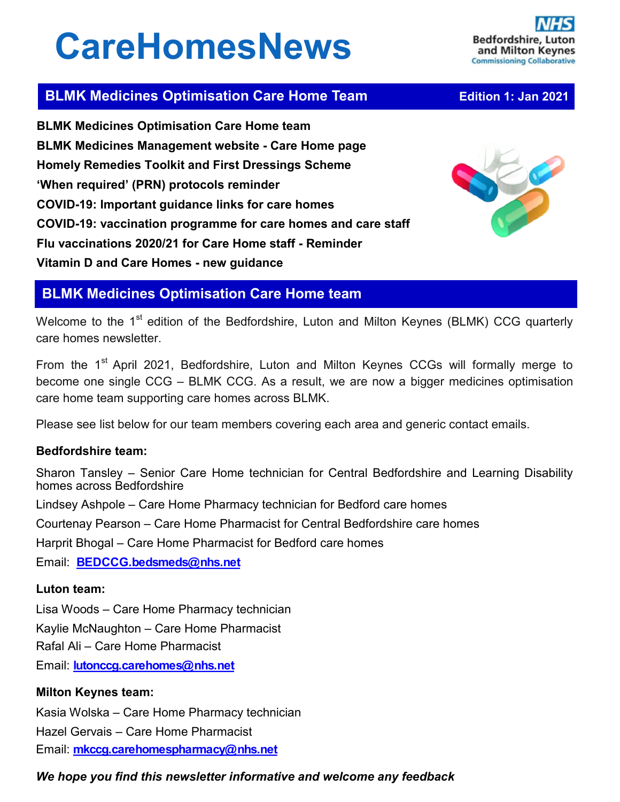# **CareHomesNews**



# **BLMK Medicines Optimisation Care Home Team <br><b>BLMK Medicines Optimisation Care Home Team** *Edition 1: Jan 2021*

**BLMK Medicines Optimisation Care Home team BLMK Medicines Management website - Care Home page Homely Remedies Toolkit and First Dressings Scheme 'When required' (PRN) protocols reminder COVID-19: Important guidance links for care homes COVID-19: vaccination programme for care homes and care staff Flu vaccinations 2020/21 for Care Home staff - Reminder Vitamin D and Care Homes - new guidance**



# **BLMK Medicines Optimisation Care Home team**

Welcome to the 1<sup>st</sup> edition of the Bedfordshire, Luton and Milton Keynes (BLMK) CCG quarterly care homes newsletter.

From the 1<sup>st</sup> April 2021, Bedfordshire, Luton and Milton Keynes CCGs will formally merge to become one single CCG – BLMK CCG. As a result, we are now a bigger medicines optimisation care home team supporting care homes across BLMK.

Please see list below for our team members covering each area and generic contact emails.

## **Bedfordshire team:**

Sharon Tansley – Senior Care Home technician for Central Bedfordshire and Learning Disability homes across Bedfordshire Lindsey Ashpole – Care Home Pharmacy technician for Bedford care homes Courtenay Pearson – Care Home Pharmacist for Central Bedfordshire care homes Harprit Bhogal – Care Home Pharmacist for Bedford care homes Email: **[BEDCCG.bedsmeds@nhs.net](mailto:BEDCCG.bedsmeds@nhs.net)**

## **Luton team:**

Lisa Woods – Care Home Pharmacy technician

Kaylie McNaughton – Care Home Pharmacist

Rafal Ali – Care Home Pharmacist

Email: **[lutonccg.carehomes@nhs.net](mailto:lutonccg.carehomes@nhs.net)**

## **Milton Keynes team:**

Kasia Wolska – Care Home Pharmacy technician Hazel Gervais – Care Home Pharmacist Email: **[mkccg.carehomespharmacy@nhs.net](mailto:mkccg.carehomespharmacy@nhs.net)**

## *We hope you find this newsletter informative and welcome any feedback*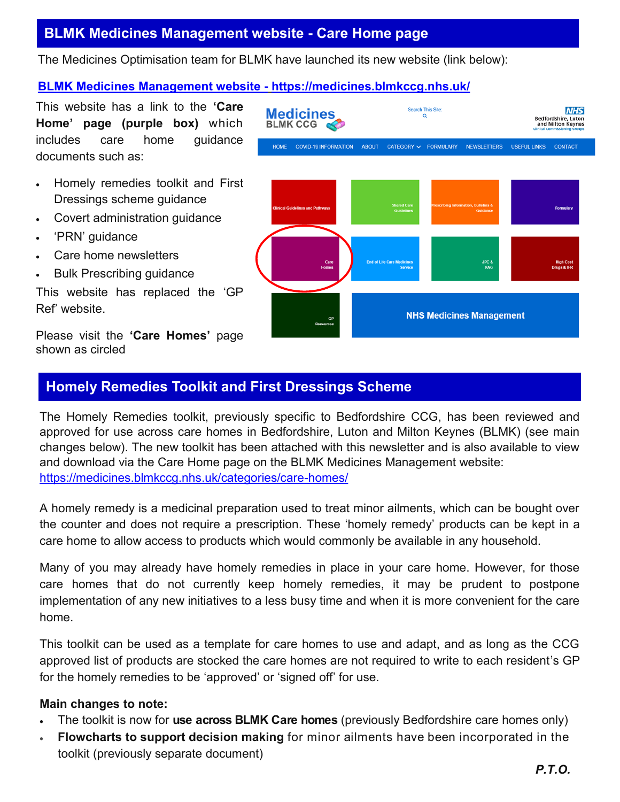# **BLMK Medicines Management website - Care Home page**

The Medicines Optimisation team for BLMK have launched its new website (link below):

## **[BLMK Medicines Management website](https://medicines.blmkccg.nhs.uk/) - <https://medicines.blmkccg.nhs.uk/>**

This website has a link to the **'Care Home' page (purple box)** which includes care home guidance documents such as:

- Homely remedies toolkit and First Dressings scheme guidance
- Covert administration guidance
- 'PRN' guidance
- Care home newsletters
- Bulk Prescribing guidance

This website has replaced the 'GP Ref' website.

Please visit the **'Care Homes'** page shown as circled



## **Homely Remedies Toolkit and First Dressings Scheme**

The Homely Remedies toolkit, previously specific to Bedfordshire CCG, has been reviewed and approved for use across care homes in Bedfordshire, Luton and Milton Keynes (BLMK) (see main changes below). The new toolkit has been attached with this newsletter and is also available to view and download via the Care Home page on the BLMK Medicines Management website: [https://medicines.blmkccg.nhs.uk/categories/care](https://medicines.blmkccg.nhs.uk/categories/care-homes/)-homes/

A homely remedy is a medicinal preparation used to treat minor ailments, which can be bought over the counter and does not require a prescription. These 'homely remedy' products can be kept in a care home to allow access to products which would commonly be available in any household.

Many of you may already have homely remedies in place in your care home. However, for those care homes that do not currently keep homely remedies, it may be prudent to postpone implementation of any new initiatives to a less busy time and when it is more convenient for the care home.

This toolkit can be used as a template for care homes to use and adapt, and as long as the CCG approved list of products are stocked the care homes are not required to write to each resident's GP for the homely remedies to be 'approved' or 'signed off' for use.

#### **Main changes to note:**

- The toolkit is now for **use across BLMK Care homes** (previously Bedfordshire care homes only)
- **Flowcharts to support decision making** for minor ailments have been incorporated in the toolkit (previously separate document)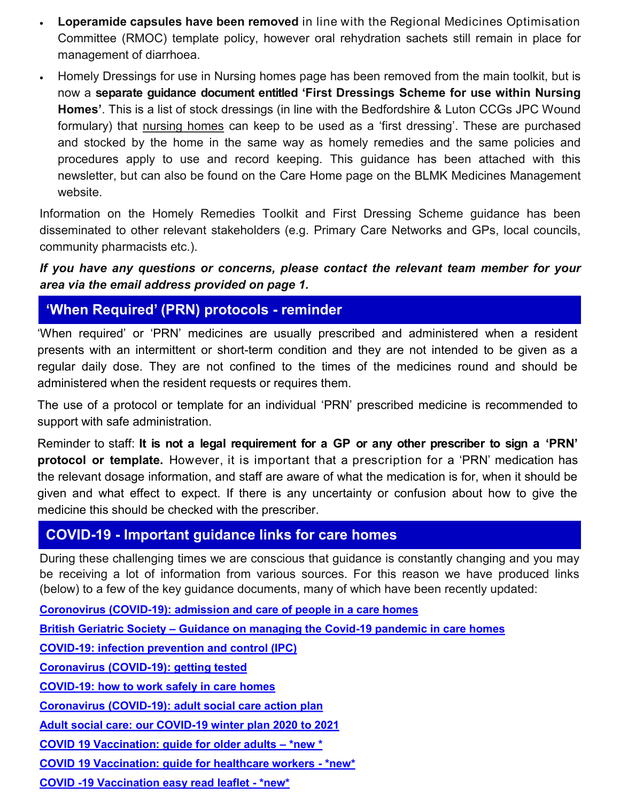- **Loperamide capsules have been removed** in line with the Regional Medicines Optimisation Committee (RMOC) template policy, however oral rehydration sachets still remain in place for management of diarrhoea.
- Homely Dressings for use in Nursing homes page has been removed from the main toolkit, but is now a **separate guidance document entitled 'First Dressings Scheme for use within Nursing Homes'**. This is a list of stock dressings (in line with the Bedfordshire & Luton CCGs JPC Wound formulary) that nursing homes can keep to be used as a 'first dressing'. These are purchased and stocked by the home in the same way as homely remedies and the same policies and procedures apply to use and record keeping. This guidance has been attached with this newsletter, but can also be found on the Care Home page on the BLMK Medicines Management website.

Information on the Homely Remedies Toolkit and First Dressing Scheme guidance has been disseminated to other relevant stakeholders (e.g. Primary Care Networks and GPs, local councils, community pharmacists etc.).

*If you have any questions or concerns, please contact the relevant team member for your area via the email address provided on page 1.* 

**'When Required' (PRN) protocols - reminder** 

'When required' or 'PRN' medicines are usually prescribed and administered when a resident presents with an intermittent or short-term condition and they are not intended to be given as a regular daily dose. They are not confined to the times of the medicines round and should be administered when the resident requests or requires them.

The use of a protocol or template for an individual 'PRN' prescribed medicine is recommended to support with safe administration.

Reminder to staff: **It is not a legal requirement for a GP or any other prescriber to sign a 'PRN' protocol or template.** However, it is important that a prescription for a 'PRN' medication has the relevant dosage information, and staff are aware of what the medication is for, when it should be given and what effect to expect. If there is any uncertainty or confusion about how to give the medicine this should be checked with the prescriber.

## **COVID-19 - Important guidance links for care homes**

During these challenging times we are conscious that guidance is constantly changing and you may be receiving a lot of information from various sources. For this reason we have produced links (below) to a few of the key guidance documents, many of which have been recently updated:

**Coronovirus (COVID-[19\): admission and care of people in a care homes](https://www.gov.uk/government/publications/coronavirus-covid-19-admission-and-care-of-people-in-care-homes)**

**British Geriatric Society – [Guidance on managing the Covid](https://www.bgs.org.uk/resources/covid-19-managing-the-covid-19-pandemic-in-care-homes)-19 pandemic in care homes**

**COVID-[19: infection prevention and control \(IPC\)](https://www.gov.uk/government/publications/wuhan-novel-coronavirus-infection-prevention-and-control)**

**[Coronavirus \(COVID](https://www.gov.uk/guidance/coronavirus-covid-19-getting-tested)-19): getting tested**

**COVID-[19: how to work safely in care homes](https://www.gov.uk/government/publications/covid-19-how-to-work-safely-in-care-homes)**

**Coronavirus (COVID-[19\): adult social care action plan](https://www.gov.uk/government/publications/coronavirus-covid-19-adult-social-care-action-plan)**

**[Adult social care: our COVID](https://www.gov.uk/government/publications/adult-social-care-coronavirus-covid-19-winter-plan-2020-to-2021/adult-social-care-our-covid-19-winter-plan-2020-to-2021)-19 winter plan 2020 to 2021**

**[COVID 19 Vaccination: guide for older adults –](https://www.gov.uk/government/publications/covid-19-vaccination-guide-for-older-adults) \*new \***

**[COVID 19 Vaccination: guide for healthcare workers](https://www.gov.uk/government/publications/covid-19-vaccination-guide-for-healthcare-workers/covid-19-vaccination-guide-for-healthcare-workers) - \*new\***

**COVID -[19 Vaccination easy read leaflet](https://assets.publishing.service.gov.uk/government/uploads/system/uploads/attachment_data/file/951000/PHE_11843_Covid-19_Easy-read_leaflet.pdf) - \*new\***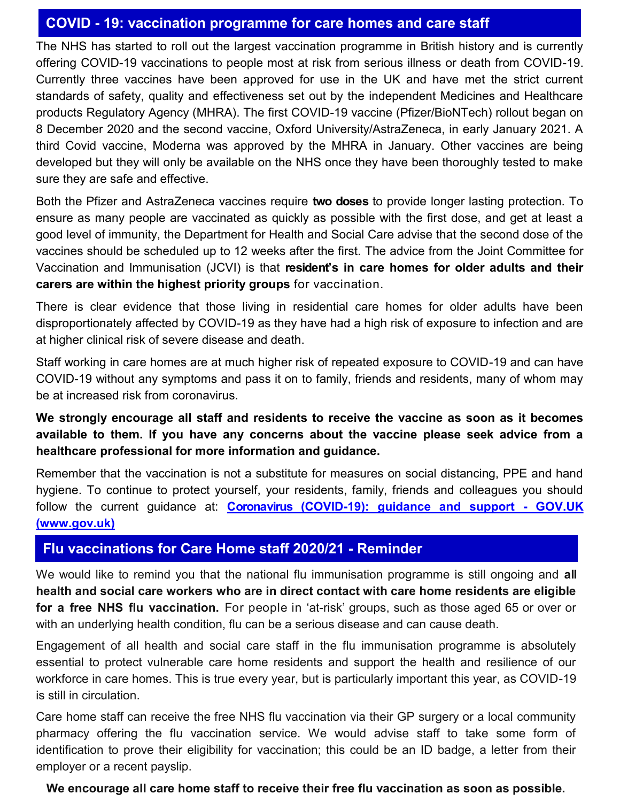## **COVID - 19: vaccination programme for care homes and care staff**

The NHS has started to roll out the largest vaccination programme in British history and is currently offering COVID-19 vaccinations to people most at risk from serious illness or death from COVID-19. Currently three vaccines have been approved for use in the UK and have met the strict current standards of safety, quality and effectiveness set out by the independent Medicines and Healthcare products Regulatory Agency (MHRA). The first COVID-19 vaccine (Pfizer/BioNTech) rollout began on 8 December 2020 and the second vaccine, Oxford University/AstraZeneca, in early January 2021. A third Covid vaccine, Moderna was approved by the MHRA in January. Other vaccines are being developed but they will only be available on the NHS once they have been thoroughly tested to make sure they are safe and effective.

Both the Pfizer and AstraZeneca vaccines require **two doses** to provide longer lasting protection. To ensure as many people are vaccinated as quickly as possible with the first dose, and get at least a good level of immunity, the Department for Health and Social Care advise that the second dose of the vaccines should be scheduled up to 12 weeks after the first. The advice from the Joint Committee for Vaccination and Immunisation (JCVI) is that **resident's in care homes for older adults and their carers are within the highest priority groups** for vaccination.

There is clear evidence that those living in residential care homes for older adults have been disproportionately affected by COVID-19 as they have had a high risk of exposure to infection and are at higher clinical risk of severe disease and death.

Staff working in care homes are at much higher risk of repeated exposure to COVID-19 and can have COVID-19 without any symptoms and pass it on to family, friends and residents, many of whom may be at increased risk from coronavirus.

## **We strongly encourage all staff and residents to receive the vaccine as soon as it becomes available to them. If you have any concerns about the vaccine please seek advice from a healthcare professional for more information and guidance.**

Remember that the vaccination is not a substitute for measures on social distancing, PPE and hand hygiene. To continue to protect yourself, your residents, family, friends and colleagues you should follow the current guidance at: **Coronavirus (COVID-[19\): guidance and support](https://www.gov.uk/coronavirus) - GOV.UK [\(www.gov.uk\)](https://www.gov.uk/coronavirus)**

## **Flu vaccinations for Care Home staff 2020/21 - Reminder**

We would like to remind you that the national flu immunisation programme is still ongoing and **all health and social care workers who are in direct contact with care home residents are eligible for a free NHS flu vaccination.** For people in 'at-risk' groups, such as those aged 65 or over or with an underlying health condition, flu can be a serious disease and can cause death.

Engagement of all health and social care staff in the flu immunisation programme is absolutely essential to protect vulnerable care home residents and support the health and resilience of our workforce in care homes. This is true every year, but is particularly important this year, as COVID-19 is still in circulation.

Care home staff can receive the free NHS flu vaccination via their GP surgery or a local community pharmacy offering the flu vaccination service. We would advise staff to take some form of identification to prove their eligibility for vaccination; this could be an ID badge, a letter from their employer or a recent payslip.

## **We encourage all care home staff to receive their free flu vaccination as soon as possible.**